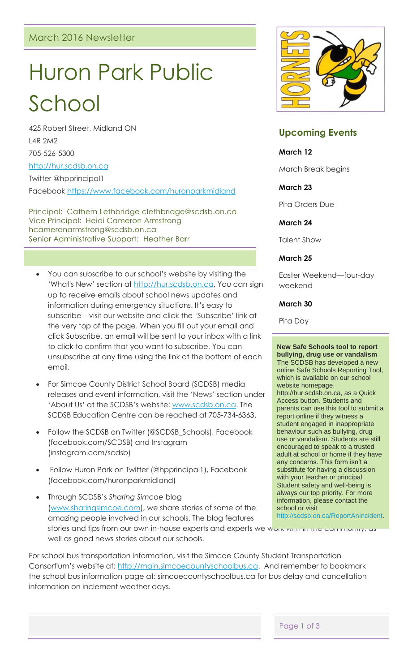# Huron Park Public

School 425 Robert Street, Midland ON

L4R 2M2

705-526-5300

[http://hur.scdsb.on.ca](http://hur.scdsb.on.ca/)

Twitter @hpprincipal1

Facebook<https://www.facebook.com/huronparkmidland>

Principal: Cathern Lethbridge clethbridge@scdsb.on.ca Vice Principal: Heidi Cameron Armstrong hcameronarmstrong@scdsb.on.ca Senior Administrative Support: Heather Barr

- You can subscribe to our school's website by visiting the 'What's New' section at [http://hur.scdsb.on.ca.](http://hur.scdsb.on.ca/) You can sign up to receive emails about school news updates and information during emergency situations. It's easy to subscribe – visit our website and click the 'Subscribe' link at the very top of the page. When you fill out your email and click Subscribe, an email will be sent to your inbox with a link to click to confirm that you want to subscribe. You can unsubscribe at any time using the link at the bottom of each email.
- For Simcoe County District School Board (SCDSB) media releases and event information, visit the 'News' section under 'About Us' at the SCDSB's website: [www.scdsb.on.ca.](http://www.scdsb.on.ca/) The SCDSB Education Centre can be reached at 705-734-6363.
- Follow the SCDSB on Twitter (@SCDSB\_Schools), Facebook (facebook.com/SCDSB) and Instagram (instagram.com/scdsb)
- Follow Huron Park on Twitter (@hpprincipal1), Facebook (facebook.com/huronparkmidland)

 Through SCDSB's *Sharing Simcoe* blog [\(www.sharingsimcoe.com\)](http://www.sharingsimcoe.com/), we share stories of some of the amazing people involved in our schools. The blog features stories and tips from our own in-house experts and experts we work with the community, as well as good news stories about our schools.



## **Upcoming Events**

### **March 12**

March Break begins

## **March 23**

Pita Orders Due

## **March 24**

Talent Show

## **March 25**

Easter Weekend—four-day weekend

## **March 30**

Pita Day

**New Safe Schools tool to report bullying, drug use or vandalism** The SCDSB has developed a new online Safe Schools Reporting Tool, which is available on our school website homepage, http://hur.scdsb.on.ca, as a Quick Access button. Students and parents can use this tool to submit a report online if they witness a student engaged in inappropriate behaviour such as bullying, drug use or vandalism. Students are still encouraged to speak to a trusted adult at school or home if they have any concerns. This form isn't a substitute for having a discussion with your teacher or principal. Student safety and well-being is always our top priority. For more information, please contact the school or visit [http://scdsb.on.ca/ReportAnIncident.](http://scdsb.on.ca/ReportAnIncident)

For school bus transportation information, visit the Simcoe County Student Transportation Consortium's website at: [http://main.simcoecountyschoolbus.ca.](http://main.simcoecountyschoolbus.ca/) And remember to bookmark the school bus information page at: simcoecountyschoolbus.ca for bus delay and cancellation information on inclement weather days.

Page 1 of 3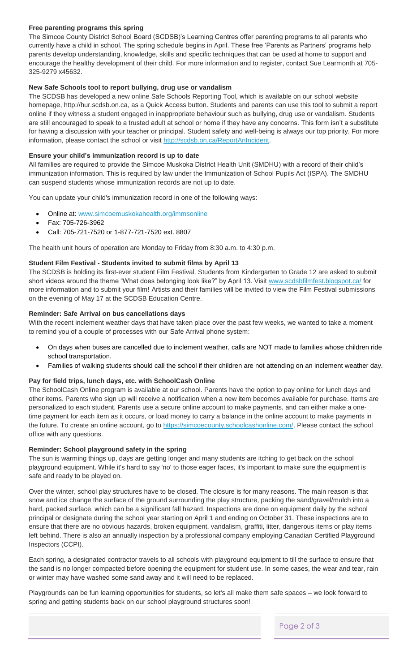#### **Free parenting programs this spring**

The Simcoe County District School Board (SCDSB)'s Learning Centres offer parenting programs to all parents who currently have a child in school. The spring schedule begins in April. These free 'Parents as Partners' programs help parents develop understanding, knowledge, skills and specific techniques that can be used at home to support and encourage the healthy development of their child. For more information and to register, contact Sue Learmonth at 705- 325-9279 x45632.

#### **New Safe Schools tool to report bullying, drug use or vandalism**

The SCDSB has developed a new online Safe Schools Reporting Tool, which is available on our school website homepage, http://hur.scdsb.on.ca, as a Quick Access button. Students and parents can use this tool to submit a report online if they witness a student engaged in inappropriate behaviour such as bullying, drug use or vandalism. Students are still encouraged to speak to a trusted adult at school or home if they have any concerns. This form isn't a substitute for having a discussion with your teacher or principal. Student safety and well-being is always our top priority. For more information, please contact the school or visit [http://scdsb.on.ca/ReportAnIncident.](http://scdsb.on.ca/ReportAnIncident)

#### **Ensure your child's immunization record is up to date**

All families are required to provide the Simcoe Muskoka District Health Unit (SMDHU) with a record of their child's immunization information. This is required by law under the Immunization of School Pupils Act (ISPA). The SMDHU can suspend students whose immunization records are not up to date.

You can update your child's immunization record in one of the following ways:

- Online at: [www.simcoemuskokahealth.org/immsonline](http://www.simcoemuskokahealth.org/immsonline)
- Fax: 705-726-3962
- Call: 705-721-7520 or 1-877-721-7520 ext. 8807

The health unit hours of operation are Monday to Friday from 8:30 a.m. to 4:30 p.m.

#### **Student Film Festival - Students invited to submit films by April 13**

The SCDSB is holding its first-ever student Film Festival. Students from Kindergarten to Grade 12 are asked to submit short videos around the theme "What does belonging look like?" by April 13. Visit [www.scdsbfilmfest.blogspot.ca/](http://www.scdsbfilmfest.blogspot.ca/) for more information and to submit your film! Artists and their families will be invited to view the Film Festival submissions on the evening of May 17 at the SCDSB Education Centre.

#### **Reminder: Safe Arrival on bus cancellations days**

With the recent inclement weather days that have taken place over the past few weeks, we wanted to take a moment to remind you of a couple of processes with our Safe Arrival phone system:

- On days when buses are cancelled due to inclement weather, calls are NOT made to families whose children ride school transportation.
- Families of walking students should call the school if their children are not attending on an inclement weather day.

#### **Pay for field trips, lunch days, etc. with SchoolCash Online**

The SchoolCash Online program is available at our school. Parents have the option to pay online for lunch days and other items. Parents who sign up will receive a notification when a new item becomes available for purchase. Items are personalized to each student. Parents use a secure online account to make payments, and can either make a onetime payment for each item as it occurs, or load money to carry a balance in the online account to make payments in the future. To create an online account, go to [https://simcoecounty.schoolcashonline.com/.](https://simcoecounty.schoolcashonline.com/) Please contact the school office with any questions.

#### **Reminder: School playground safety in the spring**

The sun is warming things up, days are getting longer and many students are itching to get back on the school playground equipment. While it's hard to say 'no' to those eager faces, it's important to make sure the equipment is safe and ready to be played on.

Over the winter, school play structures have to be closed. The closure is for many reasons. The main reason is that snow and ice change the surface of the ground surrounding the play structure, packing the sand/gravel/mulch into a hard, packed surface, which can be a significant fall hazard. Inspections are done on equipment daily by the school principal or designate during the school year starting on April 1 and ending on October 31. These inspections are to ensure that there are no obvious hazards, broken equipment, vandalism, graffiti, litter, dangerous items or play items left behind. There is also an annually inspection by a professional company employing Canadian Certified Playground Inspectors (CCPI).

Each spring, a designated contractor travels to all schools with playground equipment to till the surface to ensure that the sand is no longer compacted before opening the equipment for student use. In some cases, the wear and tear, rain or winter may have washed some sand away and it will need to be replaced.

Playgrounds can be fun learning opportunities for students, so let's all make them safe spaces – we look forward to spring and getting students back on our school playground structures soon!

Page 2 of 3